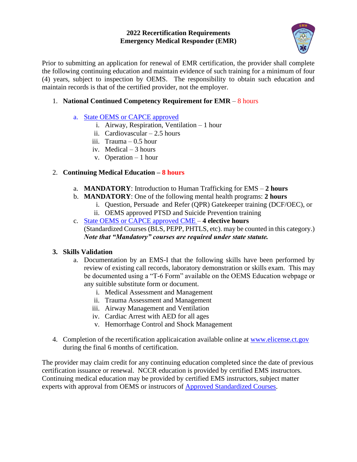### **2022 Recertification Requirements Emergency Medical Responder (EMR)**



Prior to submitting an application for renewal of EMR certification, the provider shall complete the following continuing education and maintain evidence of such training for a minimum of four (4) years, subject to inspection by OEMS. The responsibility to obtain such education and maintain records is that of the certified provider, not the employer.

# 1. **National Continued Competency Requirement for EMR** – 8 hours

### a. [State OEMS or CAPCE approved](https://dphsubmissions.ct.gov/EMSSystems/ApprovedEMSEducation)

- i. Airway, Respiration, Ventilation 1 hour
- ii. Cardiovascular 2.5 hours
- iii. Trauma 0.5 hour
- iv. Medical 3 hours
- v. Operation 1 hour

### 2. **Continuing Medical Education – 8 hours**

- a. **MANDATORY**: Introduction to Human Trafficking for EMS **2 hours**
- b. **MANDATORY**: One of the following mental health programs: **2 hours**
	- i. Question, Persuade and Refer (QPR) Gatekeeper training (DCF/OEC), or ii. OEMS approved PTSD and Suicide Prevention training
	-
- c. [State OEMS or CAPCE approved CME –](https://dphsubmissions.ct.gov/EMSSystems/ApprovedEMSEducation) **4 elective hours** (Standardized Courses (BLS, PEPP, PHTLS, etc). may be counted in this category.) *Note that "Mandatory" courses are required under state statute.*

### **3. Skills Validation**

- a. Documentation by an EMS-I that the following skills have been performed by review of existing call records, laboratory demonstration or skills exam. This may be documented using a "T-6 Form" available on the OEMS Education webpage or any suitible substitute form or document.
	- i. Medical Assessment and Management
	- ii. Trauma Assessment and Management
	- iii. Airway Management and Ventilation
	- iv. Cardiac Arrest with AED for all ages
	- v. Hemorrhage Control and Shock Management
- 4. Completion of the recertification applicaication available online at [www.elicense.ct.gov](http://www.elicense.ct.gov/) during the final 6 months of certification.

The provider may claim credit for any continuing education completed since the date of previous certification issuance or renewal. NCCR education is provided by certified EMS instructors. Continuing medical education may be provided by certified EMS instructors, subject matter experts with approval from OEMS or instrucors of [Approved Standardized Courses.](https://portal.ct.gov/-/media/Departments-and-Agencies/DPH/dph/ems/pdf/Training/Course-Listing/2019/F4-Standardized-EMS-CE-Courses.pdf?la=en)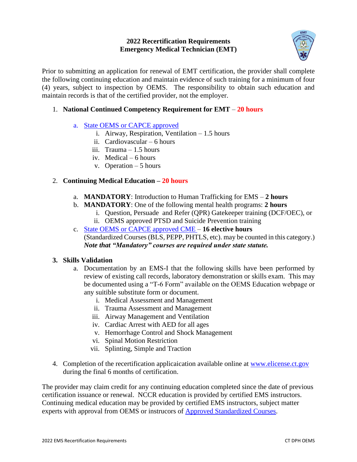### **2022 Recertification Requirements Emergency Medical Technician (EMT)**



Prior to submitting an application for renewal of EMT certification, the provider shall complete the following continuing education and maintain evidence of such training for a minimum of four (4) years, subject to inspection by OEMS. The responsibility to obtain such education and maintain records is that of the certified provider, not the employer.

# 1. **National Continued Competency Requirement for EMT** – **20 hours**

- a. [State OEMS or CAPCE approved](https://dphsubmissions.ct.gov/EMSSystems/ApprovedEMSEducation) 
	- i. Airway, Respiration, Ventilation 1.5 hours
	- ii. Cardiovascular 6 hours
	- iii. Trauma 1.5 hours
	- iv. Medical 6 hours
	- v. Operation 5 hours

### 2. **Continuing Medical Education – 20 hours**

- a. **MANDATORY**: Introduction to Human Trafficking for EMS **2 hours**
- b. **MANDATORY**: One of the following mental health programs: **2 hours**
	- i. Question, Persuade and Refer (QPR) Gatekeeper training (DCF/OEC), or
	- ii. OEMS approved PTSD and Suicide Prevention training
- c. [State OEMS or CAPCE approved CME –](https://dphsubmissions.ct.gov/EMSSystems/ApprovedEMSEducation) **16 elective hours** (Standardized Courses (BLS, PEPP, PHTLS, etc). may be counted in this category.) *Note that "Mandatory" courses are required under state statute.*

### **3. Skills Validation**

- a. Documentation by an EMS-I that the following skills have been performed by review of existing call records, laboratory demonstration or skills exam. This may be documented using a "T-6 Form" available on the OEMS Education webpage or any suitible substitute form or document.
	- i. Medical Assessment and Management
	- ii. Trauma Assessment and Management
	- iii. Airway Management and Ventilation
	- iv. Cardiac Arrest with AED for all ages
	- v. Hemorrhage Control and Shock Management
	- vi. Spinal Motion Restriction
	- vii. Splinting, Simple and Traction
- 4. Completion of the recertification applicaication available online at [www.elicense.ct.gov](http://www.elicense.ct.gov/) during the final 6 months of certification.

The provider may claim credit for any continuing education completed since the date of previous certification issuance or renewal. NCCR education is provided by certified EMS instructors. Continuing medical education may be provided by certified EMS instructors, subject matter experts with approval from OEMS or instrucors of [Approved Standardized Courses.](https://portal.ct.gov/-/media/Departments-and-Agencies/DPH/dph/ems/pdf/Training/Course-Listing/2019/F4-Standardized-EMS-CE-Courses.pdf?la=en)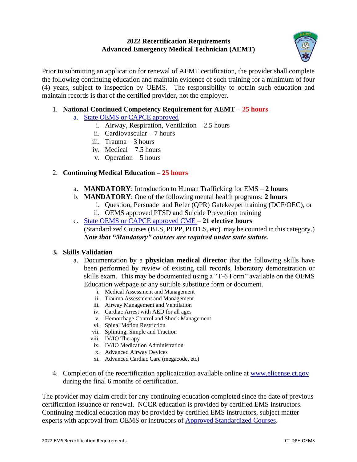# **2022 Recertification Requirements Advanced Emergency Medical Technician (AEMT)**



Prior to submitting an application for renewal of AEMT certification, the provider shall complete the following continuing education and maintain evidence of such training for a minimum of four (4) years, subject to inspection by OEMS. The responsibility to obtain such education and maintain records is that of the certified provider, not the employer.

# 1. **National Continued Competency Requirement for AEMT** – **25 hours**

- a. [State OEMS or CAPCE approved](https://dphsubmissions.ct.gov/EMSSystems/ApprovedEMSEducation)
	- i. Airway, Respiration, Ventilation 2.5 hours
	- ii. Cardiovascular 7 hours
	- iii. Trauma 3 hours
	- iv. Medical 7.5 hours
	- v. Operation 5 hours

### 2. **Continuing Medical Education – 25 hours**

- a. **MANDATORY**: Introduction to Human Trafficking for EMS **2 hours**
- b. **MANDATORY**: One of the following mental health programs: **2 hours**
	- i. Question, Persuade and Refer (QPR) Gatekeeper training (DCF/OEC), or
	- ii. OEMS approved PTSD and Suicide Prevention training
- c. [State OEMS or CAPCE approved CME –](https://dphsubmissions.ct.gov/EMSSystems/ApprovedEMSEducation) **21 elective hours** (Standardized Courses (BLS, PEPP, PHTLS, etc). may be counted in this category.) *Note that "Mandatory" courses are required under state statute.*

### **3. Skills Validation**

- a. Documentation by a **physician medical director** that the following skills have been performed by review of existing call records, laboratory demonstration or skills exam. This may be documented using a "T-6 Form" available on the OEMS Education webpage or any suitible substitute form or document.
	- i. Medical Assessment and Management
	- ii. Trauma Assessment and Management
	- iii. Airway Management and Ventilation
	- iv. Cardiac Arrest with AED for all ages
	- v. Hemorrhage Control and Shock Management
	- vi. Spinal Motion Restriction
	- vii. Splinting, Simple and Traction
	- viii. IV/IO Therapy
	- ix. IV/IO Medication Administration
	- x. Advanced Airway Devices
	- xi. Advanced Cardiac Care (megacode, etc)
- 4. Completion of the recertification applicaication available online at [www.elicense.ct.gov](http://www.elicense.ct.gov/) during the final 6 months of certification.

The provider may claim credit for any continuing education completed since the date of previous certification issuance or renewal. NCCR education is provided by certified EMS instructors. Continuing medical education may be provided by certified EMS instructors, subject matter experts with approval from OEMS or instrucors of [Approved Standardized Courses.](https://portal.ct.gov/-/media/Departments-and-Agencies/DPH/dph/ems/pdf/Training/Course-Listing/2019/F4-Standardized-EMS-CE-Courses.pdf?la=en)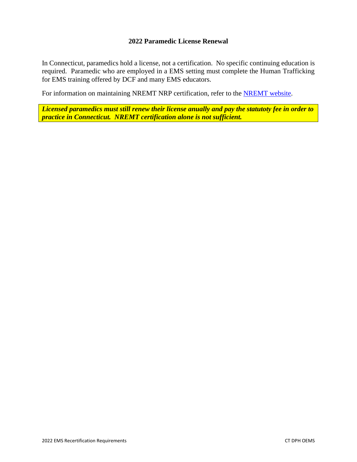### **2022 Paramedic License Renewal**

In Connecticut, paramedics hold a license, not a certification. No specific continuing education is required. Paramedic who are employed in a EMS setting must complete the Human Trafficking for EMS training offered by DCF and many EMS educators.

For information on maintaining NREMT NRP certification, refer to the [NREMT website.](https://www.nremt.org/paramedic/recertification)

*Licensed paramedics must still renew their license anually and pay the statutoty fee in order to practice in Connecticut. NREMT certification alone is not sufficient.*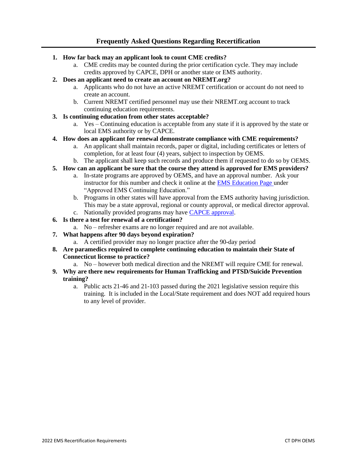- **1. How far back may an applicant look to count CME credits?**
	- a. CME credits may be counted during the prior certification cycle. They may include credits approved by CAPCE, DPH or another state or EMS authority.
- **2. Does an applicant need to create an account on NREMT.org?**
	- a. Applicants who do not have an active NREMT certification or account do not need to create an account.
	- b. Current NREMT certified personnel may use their NREMT.org account to track continuing education requirements.
- **3. Is continuing education from other states acceptable?**
	- a. Yes Continuing education is acceptable from any state if it is approved by the state or local EMS authority or by CAPCE.
- **4. How does an applicant for renewal demonstrate compliance with CME requirements?**
	- a. An applicant shall maintain records, paper or digital, including certificates or letters of completion, for at least four (4) years, subject to inspection by OEMS.
	- b. The applicant shall keep such records and produce them if requested to do so by OEMS.
- **5. How can an applicant be sure that the course they attend is approved for EMS providers?**
	- a. In-state programs are approved by OEMS, and have an approval number. Ask your instructor for this number and check it online at the [EMS Education Page u](https://portal.ct.gov/DPH/Emergency-Medical-Services/EMS/OEMS---EMS-Education-and-Training)nder "Approved EMS Continuing Education."
	- b. Programs in other states will have approval from the EMS authority having jurisdiction. This may be a state approval, regional or county approval, or medical director approval. c. Nationally provided programs may have [CAPCE approval.](http://www.capce.org/)
- **6. Is there a test for renewal of a certification?**
	- a. No refresher exams are no longer required and are not available.
- **7. What happens after 90 days beyond expiration?**
	- a. A certified provider may no longer practice after the 90-day period
- **8. Are paramedics required to complete continuing education to maintain their State of Connecticut license to practice?**
	- a. No however both medical direction and the NREMT will require CME for renewal.
- **9. Why are there new requirements for Human Trafficking and PTSD/Suicide Prevention training?**
	- a. Public acts 21-46 and 21-103 passed during the 2021 legislative session require this training. It is included in the Local/State requirement and does NOT add required hours to any level of provider.